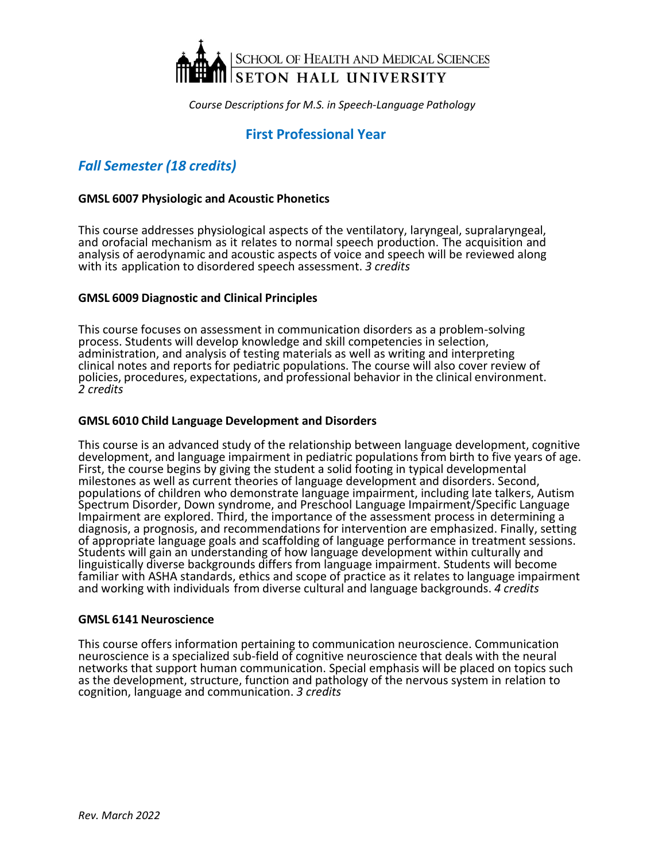

# **First Professional Year**

# *Fall Semester (18 credits)*

# **GMSL 6007 Physiologic and Acoustic Phonetics**

This course addresses physiological aspects of the ventilatory, laryngeal, supralaryngeal, and orofacial mechanism as it relates to normal speech production. The acquisition and analysis of aerodynamic and acoustic aspects of voice and speech will be reviewed along with its application to disordered speech assessment. *3 credits*

# **GMSL 6009 Diagnostic and Clinical Principles**

This course focuses on assessment in communication disorders as a problem-solving process. Students will develop knowledge and skill competencies in selection, administration, and analysis of testing materials as well as writing and interpreting clinical notes and reports for pediatric populations. The course will also cover review of policies, procedures, expectations, and professional behavior in the clinical environment. *2 credits*

# **GMSL 6010 Child Language Development and Disorders**

This course is an advanced study of the relationship between language development, cognitive development, and language impairment in pediatric populationsfrom birth to five years of age. First, the course begins by giving the student a solid footing in typical developmental milestones as well as current theories of language development and disorders. Second, populations of children who demonstrate language impairment, including late talkers, Autism Spectrum Disorder, Down syndrome, and Preschool Language Impairment/Specific Language Impairment are explored. Third, the importance of the assessment process in determining a diagnosis, a prognosis, and recommendations for intervention are emphasized. Finally, setting of appropriate language goals and scaffolding of language performance in treatment sessions. Students will gain an understanding of how language development within culturally and linguistically diverse backgrounds differs from language impairment. Students will become familiar with ASHA standards, ethics and scope of practice as it relates to language impairment and working with individuals from diverse cultural and language backgrounds. *4 credits*

#### **GMSL 6141 Neuroscience**

This course offers information pertaining to communication neuroscience. Communication neuroscience is a specialized sub-field of cognitive neuroscience that deals with the neural networks that support human communication. Special emphasis will be placed on topics such as the development, structure, function and pathology of the nervous system in relation to cognition, language and communication. *3 credits*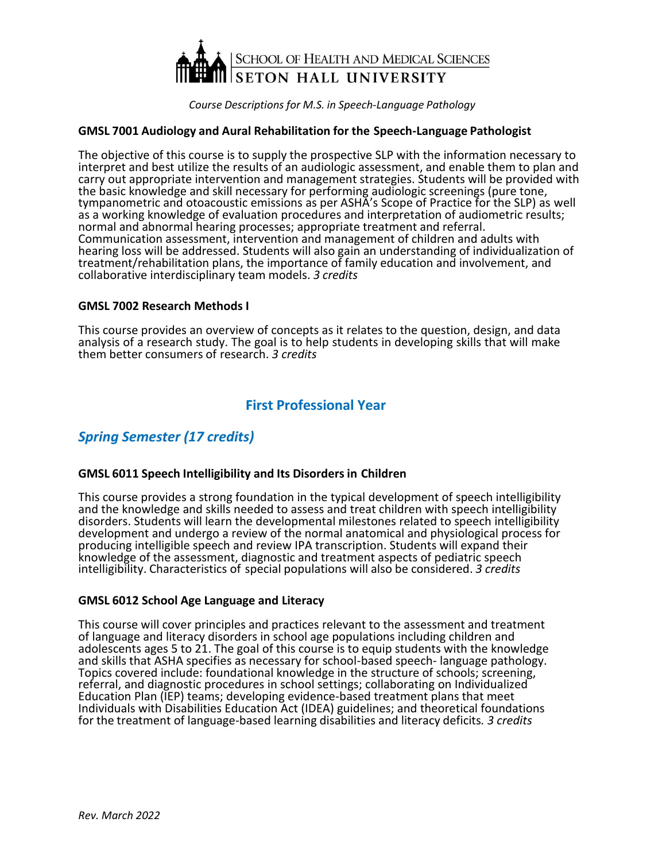

# **GMSL 7001 Audiology and Aural Rehabilitation for the Speech-Language Pathologist**

The objective of this course is to supply the prospective SLP with the information necessary to interpret and best utilize the results of an audiologic assessment, and enable them to plan and carry out appropriate intervention and management strategies. Students will be provided with the basic knowledge and skill necessary for performing audiologic screenings (pure tone, tympanometric and otoacoustic emissions as per ASHA's Scope of Practice for the SLP) as well as a working knowledge of evaluation procedures and interpretation of audiometric results; normal and abnormal hearing processes; appropriate treatment and referral. Communication assessment, intervention and management of children and adults with hearing loss will be addressed. Students will also gain an understanding of individualization of treatment/rehabilitation plans, the importance of family education and involvement, and collaborative interdisciplinary team models. *3 credits*

# **GMSL 7002 Research Methods I**

This course provides an overview of concepts as it relates to the question, design, and data analysis of a research study. The goal is to help students in developing skills that will make them better consumers of research. *3 credits*

# **First Professional Year**

# *Spring Semester (17 credits)*

# **GMSL 6011 Speech Intelligibility and Its Disordersin Children**

This course provides a strong foundation in the typical development of speech intelligibility and the knowledge and skills needed to assess and treat children with speech intelligibility disorders. Students will learn the developmental milestones related to speech intelligibility development and undergo a review of the normal anatomical and physiological process for producing intelligible speech and review IPA transcription. Students will expand their knowledge of the assessment, diagnostic and treatment aspects of pediatric speech intelligibility. Characteristics of special populations will also be considered. *3 credits*

#### **GMSL 6012 School Age Language and Literacy**

This course will cover principles and practices relevant to the assessment and treatment of language and literacy disorders in school age populations including children and adolescents ages 5 to 21. The goal of this course is to equip students with the knowledge and skills that ASHA specifies as necessary for school-based speech- language pathology. Topics covered include: foundational knowledge in the structure of schools; screening, referral, and diagnostic procedures in school settings; collaborating on Individualized Education Plan (IEP) teams; developing evidence-based treatment plans that meet Individuals with Disabilities Education Act (IDEA) guidelines; and theoretical foundations for the treatment of language-based learning disabilities and literacy deficits*. 3 credits*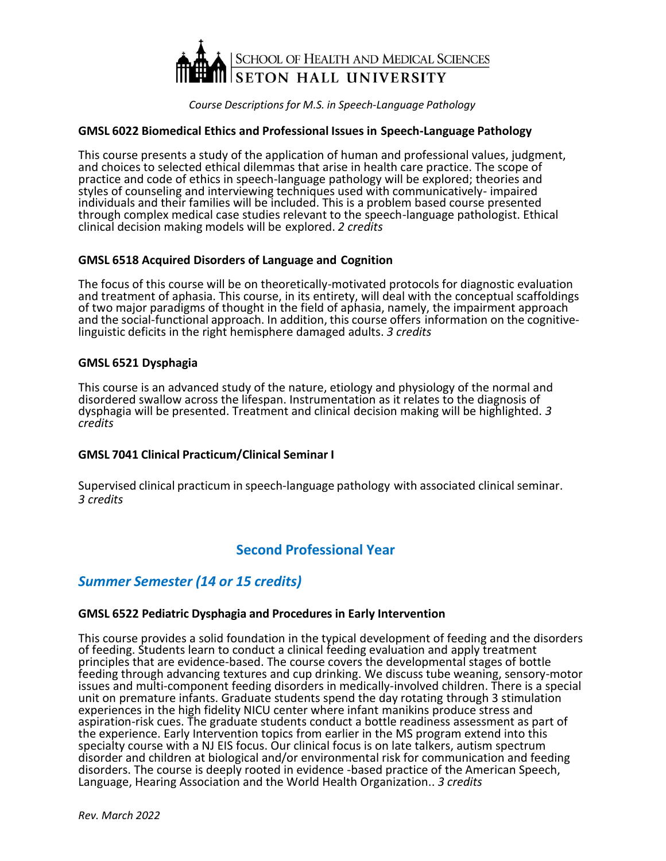

# **GMSL 6022 Biomedical Ethics and Professional Issues in Speech-Language Pathology**

This course presents a study of the application of human and professional values, judgment, and choices to selected ethical dilemmas that arise in health care practice. The scope of practice and code of ethics in speech-language pathology will be explored; theories and styles of counseling and interviewing techniques used with communicatively- impaired individuals and their families will be included. This is a problem based course presented through complex medical case studies relevant to the speech-language pathologist. Ethical clinical decision making models will be explored. *2 credits*

# **GMSL 6518 Acquired Disorders of Language and Cognition**

The focus of this course will be on theoretically-motivated protocols for diagnostic evaluation and treatment of aphasia. This course, in its entirety, will deal with the conceptual scaffoldings of two major paradigms of thought in the field of aphasia, namely, the impairment approach and the social-functional approach. In addition, this course offers information on the cognitivelinguistic deficits in the right hemisphere damaged adults. *3 credits*

# **GMSL 6521 Dysphagia**

This course is an advanced study of the nature, etiology and physiology of the normal and disordered swallow across the lifespan. Instrumentation as it relates to the diagnosis of dysphagia will be presented. Treatment and clinical decision making will be highlighted. *3 credits*

# **GMSL 7041 Clinical Practicum/Clinical Seminar I**

Supervised clinical practicum in speech-language pathology with associated clinical seminar. *3 credits*

# **Second Professional Year**

# *Summer Semester (14 or 15 credits)*

#### **GMSL 6522 Pediatric Dysphagia and Procedures in Early Intervention**

This course provides a solid foundation in the typical development of feeding and the disorders of feeding. Students learn to conduct a clinical feeding evaluation and apply treatment principles that are evidence-based. The course covers the developmental stages of bottle feeding through advancing textures and cup drinking. We discuss tube weaning, sensory-motor issues and multi-component feeding disorders in medically-involved children. There is a special unit on premature infants. Graduate students spend the day rotating through 3 stimulation experiences in the high fidelity NICU center where infant manikins produce stress and aspiration-risk cues. The graduate students conduct a bottle readiness assessment as part of the experience. Early Intervention topics from earlier in the MS program extend into this specialty course with a NJ EIS focus. Our clinical focus is on late talkers, autism spectrum disorder and children at biological and/or environmental risk for communication and feeding disorders. The course is deeply rooted in evidence -based practice of the American Speech, Language, Hearing Association and the World Health Organization.. *3 credits*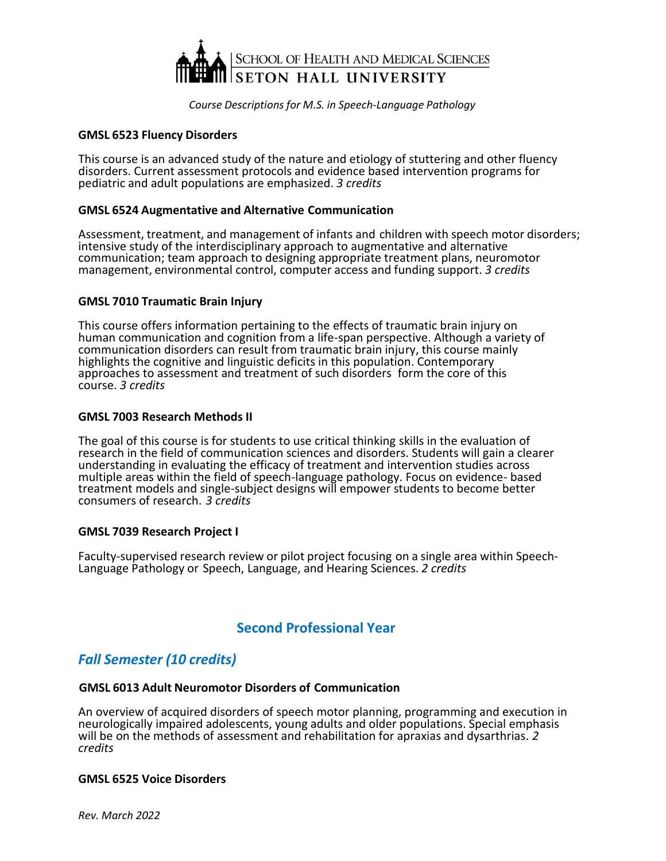

# **GMSL 6523 Fluency Disorders**

This course is an advanced study of the nature and etiology of stuttering and other fluency disorders. Current assessment protocols and evidence based intervention programs for pediatric and adult populations are emphasized. *3 credits*

# **GMSL 6524 Augmentative and Alternative Communication**

Assessment, treatment, and management of infants and children with speech motor disorders; intensive study of the interdisciplinary approach to augmentative and alternative communication; team approach to designing appropriate treatment plans, neuromotor management, environmental control, computer access and funding support. *3 credits*

# **GMSL 7010 Traumatic Brain Injury**

This course offers information pertaining to the effects of traumatic brain injury on human communication and cognition from a life-span perspective. Although a variety of communication disorders can result from traumatic brain injury, this course mainly highlights the cognitive and linguistic deficits in this population. Contemporary approaches to assessment and treatment of such disorders form the core of this course. *3 credits*

# **GMSL 7003 Research Methods II**

The goal of this course is for students to use critical thinking skills in the evaluation of research in the field of communication sciences and disorders. Students will gain a clearer understanding in evaluating the efficacy of treatment and intervention studies across multiple areas within the field of speech-language pathology. Focus on evidence- based treatment models and single-subject designs will empower students to become better consumers of research. *3 credits*

# **GMSL 7039 Research Project I**

Faculty-supervised research review or pilot project focusing on a single area within Speech-Language Pathology or Speech, Language, and Hearing Sciences. *2 credits*

# **Second Professional Year**

# *Fall Semester (10 credits)*

#### **GMSL 6013 Adult Neuromotor Disorders of Communication**

An overview of acquired disorders of speech motor planning, programming and execution in neurologically impaired adolescents, young adults and older populations. Special emphasis will be on the methods of assessment and rehabilitation for apraxias and dysarthrias. *2 credits*

#### **GMSL 6525 Voice Disorders**